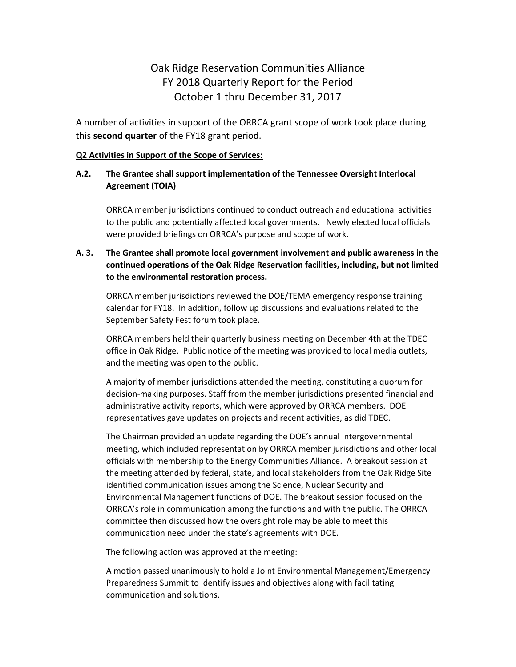# Oak Ridge Reservation Communities Alliance FY 2018 Quarterly Report for the Period October 1 thru December 31, 2017

A number of activities in support of the ORRCA grant scope of work took place during this **second quarter** of the FY18 grant period.

#### **Q2 Activities in Support of the Scope of Services:**

### **A.2. The Grantee shall support implementation of the Tennessee Oversight Interlocal Agreement (TOIA)**

ORRCA member jurisdictions continued to conduct outreach and educational activities to the public and potentially affected local governments. Newly elected local officials were provided briefings on ORRCA's purpose and scope of work.

# **A. 3. The Grantee shall promote local government involvement and public awareness in the continued operations of the Oak Ridge Reservation facilities, including, but not limited to the environmental restoration process.**

ORRCA member jurisdictions reviewed the DOE/TEMA emergency response training calendar for FY18. In addition, follow up discussions and evaluations related to the September Safety Fest forum took place.

ORRCA members held their quarterly business meeting on December 4th at the TDEC office in Oak Ridge. Public notice of the meeting was provided to local media outlets, and the meeting was open to the public.

A majority of member jurisdictions attended the meeting, constituting a quorum for decision-making purposes. Staff from the member jurisdictions presented financial and administrative activity reports, which were approved by ORRCA members. DOE representatives gave updates on projects and recent activities, as did TDEC.

The Chairman provided an update regarding the DOE's annual Intergovernmental meeting, which included representation by ORRCA member jurisdictions and other local officials with membership to the Energy Communities Alliance. A breakout session at the meeting attended by federal, state, and local stakeholders from the Oak Ridge Site identified communication issues among the Science, Nuclear Security and Environmental Management functions of DOE. The breakout session focused on the ORRCA's role in communication among the functions and with the public. The ORRCA committee then discussed how the oversight role may be able to meet this communication need under the state's agreements with DOE.

The following action was approved at the meeting:

A motion passed unanimously to hold a Joint Environmental Management/Emergency Preparedness Summit to identify issues and objectives along with facilitating communication and solutions.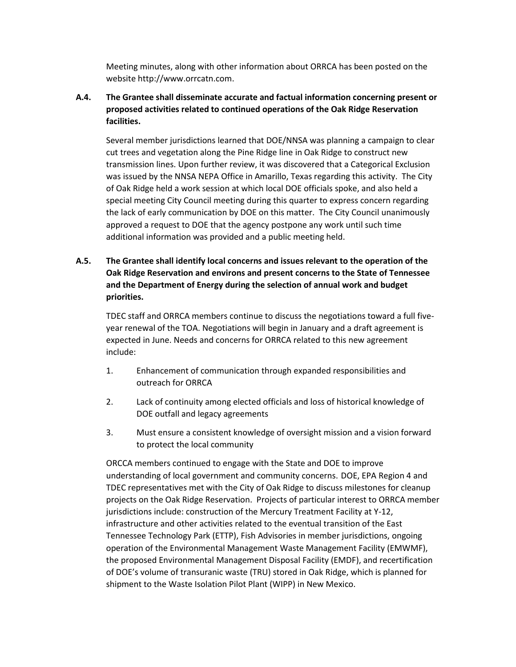Meeting minutes, along with other information about ORRCA has been posted on the website http://www.orrcatn.com.

**A.4. The Grantee shall disseminate accurate and factual information concerning present or proposed activities related to continued operations of the Oak Ridge Reservation facilities.**

Several member jurisdictions learned that DOE/NNSA was planning a campaign to clear cut trees and vegetation along the Pine Ridge line in Oak Ridge to construct new transmission lines. Upon further review, it was discovered that a Categorical Exclusion was issued by the NNSA NEPA Office in Amarillo, Texas regarding this activity. The City of Oak Ridge held a work session at which local DOE officials spoke, and also held a special meeting City Council meeting during this quarter to express concern regarding the lack of early communication by DOE on this matter. The City Council unanimously approved a request to DOE that the agency postpone any work until such time additional information was provided and a public meeting held.

# **A.5. The Grantee shall identify local concerns and issues relevant to the operation of the Oak Ridge Reservation and environs and present concerns to the State of Tennessee and the Department of Energy during the selection of annual work and budget priorities.**

TDEC staff and ORRCA members continue to discuss the negotiations toward a full fiveyear renewal of the TOA. Negotiations will begin in January and a draft agreement is expected in June. Needs and concerns for ORRCA related to this new agreement include:

- 1. Enhancement of communication through expanded responsibilities and outreach for ORRCA
- 2. Lack of continuity among elected officials and loss of historical knowledge of DOE outfall and legacy agreements
- 3. Must ensure a consistent knowledge of oversight mission and a vision forward to protect the local community

ORCCA members continued to engage with the State and DOE to improve understanding of local government and community concerns. DOE, EPA Region 4 and TDEC representatives met with the City of Oak Ridge to discuss milestones for cleanup projects on the Oak Ridge Reservation. Projects of particular interest to ORRCA member jurisdictions include: construction of the Mercury Treatment Facility at Y-12, infrastructure and other activities related to the eventual transition of the East Tennessee Technology Park (ETTP), Fish Advisories in member jurisdictions, ongoing operation of the Environmental Management Waste Management Facility (EMWMF), the proposed Environmental Management Disposal Facility (EMDF), and recertification of DOE's volume of transuranic waste (TRU) stored in Oak Ridge, which is planned for shipment to the Waste Isolation Pilot Plant (WIPP) in New Mexico.